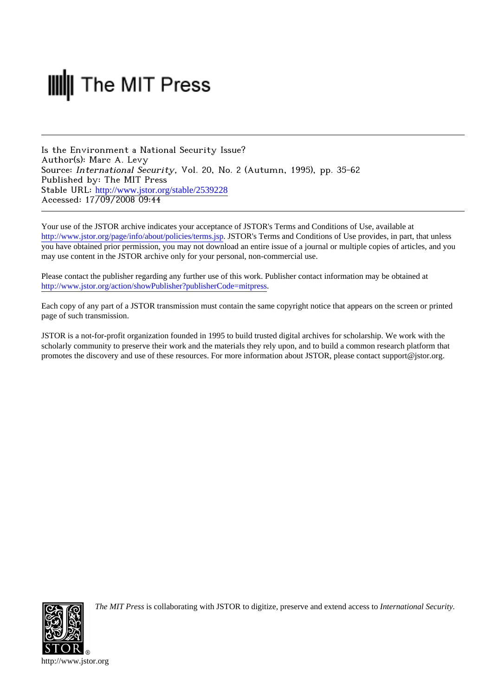# **III** The MIT Press

Is the Environment a National Security Issue? Author(s): Marc A. Levy Source: International Security, Vol. 20, No. 2 (Autumn, 1995), pp. 35-62 Published by: The MIT Press Stable URL: [http://www.jstor.org/stable/2539228](http://www.jstor.org/stable/2539228?origin=JSTOR-pdf) Accessed: 17/09/2008 09:44

Your use of the JSTOR archive indicates your acceptance of JSTOR's Terms and Conditions of Use, available at <http://www.jstor.org/page/info/about/policies/terms.jsp>. JSTOR's Terms and Conditions of Use provides, in part, that unless you have obtained prior permission, you may not download an entire issue of a journal or multiple copies of articles, and you may use content in the JSTOR archive only for your personal, non-commercial use.

Please contact the publisher regarding any further use of this work. Publisher contact information may be obtained at [http://www.jstor.org/action/showPublisher?publisherCode=mitpress.](http://www.jstor.org/action/showPublisher?publisherCode=mitpress)

Each copy of any part of a JSTOR transmission must contain the same copyright notice that appears on the screen or printed page of such transmission.

JSTOR is a not-for-profit organization founded in 1995 to build trusted digital archives for scholarship. We work with the scholarly community to preserve their work and the materials they rely upon, and to build a common research platform that promotes the discovery and use of these resources. For more information about JSTOR, please contact support@jstor.org.



*The MIT Press* is collaborating with JSTOR to digitize, preserve and extend access to *International Security.*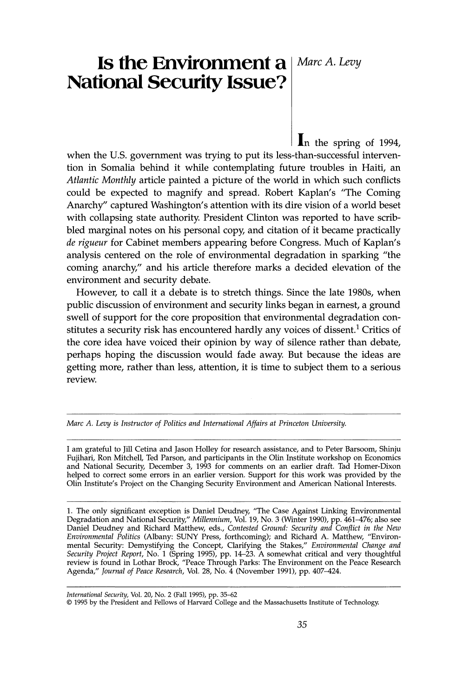# **Is the Environment a** | Marc A. Levy **National Security Issue?**

 $\ln$  the spring of 1994, when the U.S. government was trying to put its less-than-successful intervention in Somalia behind it while contemplating future troubles in Haiti, an Atlantic Monthly article painted a picture of the world in which such conflicts could be expected to magnify and spread. Robert Kaplan's "The Coming Anarchy" captured Washington's attention with its dire vision of a world beset with collapsing state authority. President Clinton was reported to have scribbled marginal notes on his personal copy, and citation of it became practically de rigueur for Cabinet members appearing before Congress. Much of Kaplan's analysis centered on the role of environmental degradation in sparking "the coming anarchy," and his article therefore marks a decided elevation of the environment and security debate.

However, to call it a debate is to stretch things. Since the late 1980s, when public discussion of environment and security links began in earnest, a ground swell of support for the core proposition that environmental degradation constitutes a security risk has encountered hardly any voices of dissent.<sup>1</sup> Critics of the core idea have voiced their opinion by way of silence rather than debate, perhaps hoping the discussion would fade away. But because the ideas are getting more, rather than less, attention, it is time to subject them to a serious review.

Marc A. Levy is Instructor of Politics and International Affairs at Princeton University.

I am grateful to Jill Cetina and Jason Holley for research assistance, and to Peter Barsoom, Shinju Fujihari, Ron Mitchell, Ted Parson, and participants in the Olin Institute workshop on Economics and National Security, December 3, 1993 for comments on an earlier draft. Tad Homer-Dixon helped to correct some errors in an earlier version. Support for this work was provided by the Olin Institute's Project on the Changing Security Environment and American National Interests.

1. The only significant exception is Daniel Deudney, "The Case Against Linking Environmental Degradation and National Security," Millennium, Vol. 19, No. 3 (Winter 1990), pp. 461–476; also see Daniel Deudney and Richard Matthew, eds., Contested Ground: Security and Conflict in the New Environmental Politics (Albany: SUNY Press, forthcoming); and Richard A. Matthew, "Environmental Security: Demystifying the Concept, Clarifying the Stakes," Environmental Change and<br>Security Project Report, No. 1 (Spring 1995), pp. 14–23. A somewhat critical and very thoughtful<br>review is found in Lothar Brock,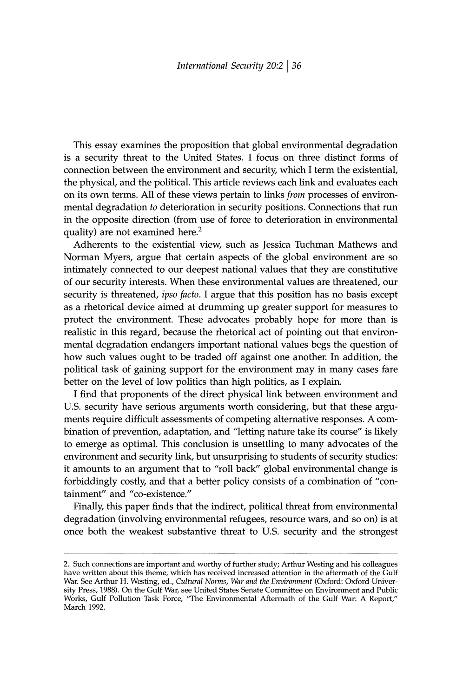This essay examines the proposition that global environmental degradation is a security threat to the United States. I focus on three distinct forms of connection between the environment and security, which I term the existential, the physical, and the political. This article reviews each link and evaluates each on its own terms. All of these views pertain to links *from* processes of environmental degradation to deterioration in security positions. Connections that run in the opposite direction (from use of force to deterioration in environmental quality) are not examined here.<sup>2</sup>

Adherents to the existential view, such as Jessica Tuchman Mathews and Norman Myers, argue that certain aspects of the global environment are so intimately connected to our deepest national values that they are constitutive of our security interests. When these environmental values are threatened, our security is threatened, ipso facto. I argue that this position has no basis except as a rhetorical device aimed at drumming up greater support for measures to protect the environment. These advocates probably hope for more than is realistic in this regard, because the rhetorical act of pointing out that environmental degradation endangers important national values begs the question of how such values ought to be traded off against one another. In addition, the political task of gaining support for the environment may in many cases fare better on the level of low politics than high politics, as I explain.

I find that proponents of the direct physical link between environment and U.S. security have serious arguments worth considering, but that these arguments require difficult assessments of competing alternative responses. A combination of prevention, adaptation, and "letting nature take its course" is likely to emerge as optimal. This conclusion is unsettling to many advocates of the environment and security link, but unsurprising to students of security studies: it amounts to an argument that to "roll back" global environmental change is forbiddingly costly, and that a better policy consists of a combination of "containment" and "co-existence."

Finally, this paper finds that the indirect, political threat from environmental degradation (involving environmental refugees, resource wars, and so on) is at once both the weakest substantive threat to U.S. security and the strongest

<sup>2.</sup> Such connections are important and worthy of further study; Arthur Westing and his colleagues have written about this theme, which has received increased attention in the aftermath of the Gulf War. See Arthur H. Westing, ed., Cultural Norms, War and the Environment (Oxford: Oxford University Press, 1988). On the Gulf War, see United States Senate Committee on Environment and Public Works, Gulf Pollution Task Force, "The Environmental Aftermath of the Gulf War: A Report," March 1992.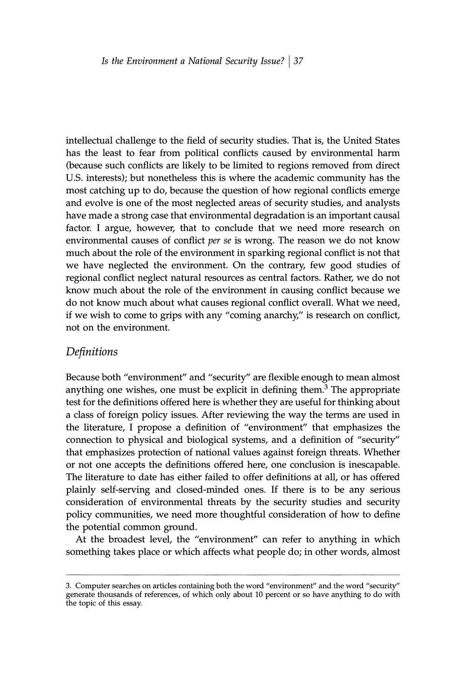intellectual challenge to the field of security studies. That is, the United States has the least to fear from political conflicts caused by environmental harm (because such conflicts are likely to be limited to regions removed from direct U.S. interests); but nonetheless this is where the academic community has the most catching up to do, because the question of how regional conflicts emerge and evolve is one of the most neglected areas of security studies, and analysts have made a strong case that environmental degradation is an important causal factor. I argue, however, that to conclude that we need more research on environmental causes of conflict per se is wrong. The reason we do not know much about the role of the environment in sparking regional conflict is not that we have neglected the environment. On the contrary, few good studies of regional conflict neglect natural resources as central factors. Rather, we do not know much about the role of the environment in causing conflict because we do not know much about what causes regional conflict overall. What we need, if we wish to come to grips with any "coming anarchy," is research on conflict, not on the environment.

## Definitions

Because both "environment" and "security" are flexible enough to mean almost anything one wishes, one must be explicit in defining them.<sup>3</sup> The appropriate test for the definitions offered here is whether they are useful for thinking about a class of foreign policy issues. After reviewing the way the terms are used in the literature, I propose a definition of "environment" that emphasizes the connection to physical and biological systems, and a definition of "security" that emphasizes protection of national values against foreign threats. Whether or not one accepts the definitions offered here, one conclusion is inescapable. The literature to date has either failed to offer definitions at all, or has offered plainly self-serving and closed-minded ones. If there is to be any serious consideration of environmental threats by the security studies and security policy communities, we need more thoughtful consideration of how to define the potential common ground.

At the broadest level, the "environment" can refer to anything in which something takes place or which affects what people do; in other words, almost

<sup>3.</sup> Computer searches on articles containing both the word "environment" and the word "security" generate thousands of references, of which only about 10 percent or so have anything to do with the topic of this essay.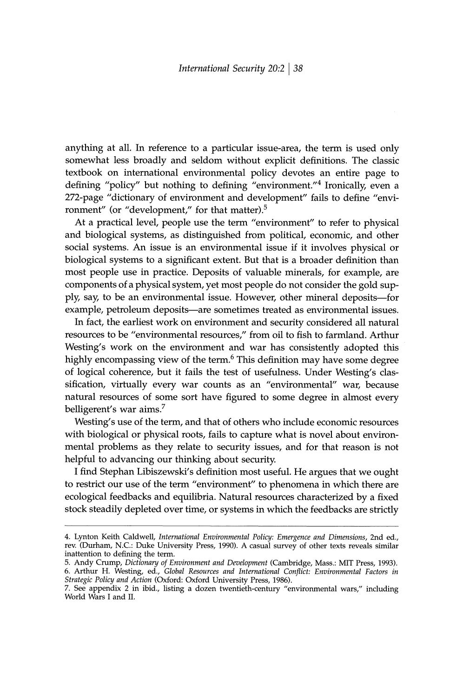anything at all. In reference to a particular issue-area, the term is used only somewhat less broadly and seldom without explicit definitions. The classic textbook on international environmental policy devotes an entire page to defining "policy" but nothing to defining "environment."<sup>4</sup> Ironically, even a 272-page "dictionary of environment and development" fails to define "environment" (or "development," for that matter).<sup>5</sup>

At a practical level, people use the term "environment" to refer to physical and biological systems, as distinguished from political, economic, and other social systems. An issue is an environmental issue if it involves physical or biological systems to a significant extent. But that is a broader definition than most people use in practice. Deposits of valuable minerals, for example, are components of a physical system, yet most people do not consider the gold supply, say, to be an environmental issue. However, other mineral deposits—for example, petroleum deposits—are sometimes treated as environmental issues.

In fact, the earliest work on environment and security considered all natural resources to be "environmental resources," from oil to fish to farmland. Arthur Westing's work on the environment and war has consistently adopted this highly encompassing view of the term.<sup>6</sup> This definition may have some degree of logical coherence, but it fails the test of usefulness. Under Westing's classification, virtually every war counts as an "environmental" war, because natural resources of some sort have figured to some degree in almost every belligerent's war aims.<sup>7</sup>

Westing's use of the term, and that of others who include economic resources with biological or physical roots, fails to capture what is novel about environmental problems as they relate to security issues, and for that reason is not helpful to advancing our thinking about security.

I find Stephan Libiszewski's definition most useful. He argues that we ought to restrict our use of the term "environment" to phenomena in which there are ecological feedbacks and equilibria. Natural resources characterized by a fixed stock steadily depleted over time, or systems in which the feedbacks are strictly

<sup>4.</sup> Lynton Keith Caldwell, International Environmental Policy: Emergence and Dimensions, 2nd ed., rev. (Durham, N.C.: Duke University Press, 1990). A casual survey of other texts reveals similar inattention to defining the term.

<sup>5.</sup> Andy Crump, Dictionary of Environment and Development (Cambridge, Mass.: MIT Press, 1993).<br>6. Arthur H. Westing, ed., Global Resources and International Conflict: Environmental Factors in Strategic Policy and Action (Oxford: Oxford University Press, 1986).

<sup>7.</sup> See appendix 2 in ibid., listing a dozen twentieth-century "environmental wars," including World Wars I and II.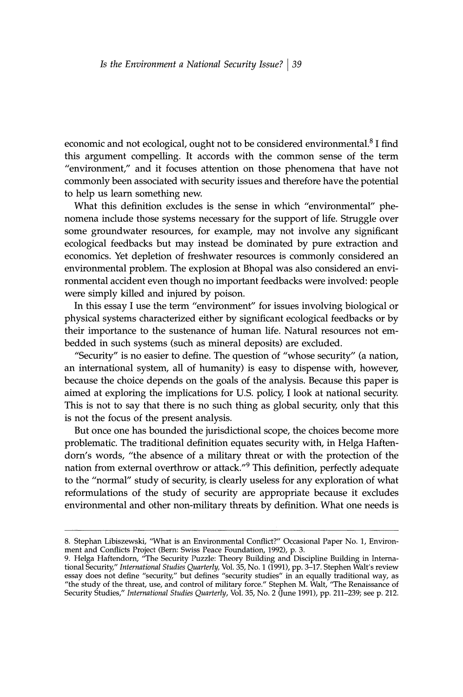economic and not ecological, ought not to be considered environmental.<sup>8</sup> I find this argument compelling. It accords with the common sense of the term "environment," and it focuses attention on those phenomena that have not commonly been associated with security issues and therefore have the potential to help us learn something new.

What this definition excludes is the sense in which "environmental" phenomena include those systems necessary for the support of life. Struggle over some groundwater resources, for example, may not involve any significant ecological feedbacks but may instead be dominated by pure extraction and economics. Yet depletion of freshwater resources is commonly considered an environmental problem. The explosion at Bhopal was also considered an environmental accident even though no important feedbacks were involved: people were simply killed and injured by poison.

In this essay I use the term "environment" for issues involving biological or physical systems characterized either by significant ecological feedbacks or by their importance to the sustenance of human life. Natural resources not embedded in such systems (such as mineral deposits) are excluded.

"Security" is no easier to define. The question of "whose security" (a nation, an international system, all of humanity) is easy to dispense with, however, because the choice depends on the goals of the analysis. Because this paper is aimed at exploring the implications for U.S. policy, I look at national security. This is not to say that there is no such thing as global security, only that this is not the focus of the present analysis.

But once one has bounded the jurisdictional scope, the choices become more problematic. The traditional definition equates security with, in Helga Haftendorn's words, "the absence of a military threat or with the protection of the nation from external overthrow or attack."<sup>9</sup> This definition, perfectly adequate to the "normal" study of security, is clearly useless for any exploration of what reformulations of the study of security are appropriate because it excludes environmental and other non-military threats by definition. What one needs is

<sup>8.</sup> Stephan Libiszewski, "What is an Environmental Conflict?" Occasional Paper No. 1, Environment and Conflicts Project (Bern: Swiss Peace Foundation, 1992), p. 3.

ment and Conflicts Project (bern: Swiss Peace Foundation, 1992), p. 3.<br>
9. Helga Haftendorn, "The Security Puzzle: Theory Building and Discipline Building in Interna-<br>
4. Helga Haftendorn, "The Security Puzzle: Theory Buil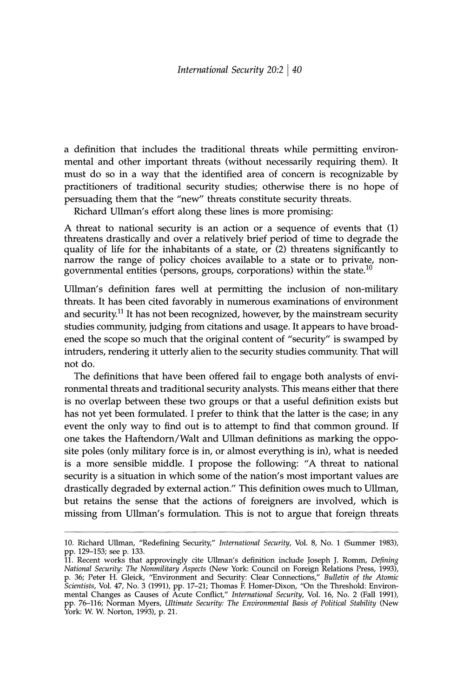a definition that includes the traditional threats while permitting environmental and other important threats (without necessarily requiring them). It must do so in a way that the identified area of concern is recognizable by practitioners of traditional security studies; otherwise there is no hope of persuading them that the "new" threats constitute security threats.

Richard Ullman's effort along these lines is more promising:

A threat to national security is an action or a sequence of events that (1) threatens drastically and over a relatively brief period of time to degrade the quality of life for the inhabitants of a state, or (2) threatens significantly to narrow the range of policy choices available to a state or to private, nongovernmental entities (persons, groups, corporations) within the state.<sup>10</sup>

Ullman's definition fares well at permitting the inclusion of non-military threats. It has been cited favorably in numerous examinations of environment and security.<sup>11</sup> It has not been recognized, however, by the mainstream security studies community, judging from citations and usage. It appears to have broadened the scope so much that the original content of "security" is swamped by intruders, rendering it utterly alien to the security studies community. That will not do.

The definitions that have been offered fail to engage both analysts of environmental threats and traditional security analysts. This means either that there is no overlap between these two groups or that a useful definition exists but has not yet been formulated. I prefer to think that the latter is the case; in any event the only way to find out is to attempt to find that common ground. If one takes the Haftendorn/Walt and Ullman definitions as marking the opposite poles (only military force is in, or almost everything is in), what is needed is a more sensible middle. I propose the following: "A threat to national security is a situation in which some of the nation's most important values are drastically degraded by external action." This definition owes much to Ullman, but retains the sense that the actions of foreigners are involved, which is missing from Ullman's formulation. This is not to argue that foreign threats

<sup>10.</sup> Richard Ullman, "Redefining Security," International Security, Vol. 8, No. 1 (Summer 1983), pp. 129-153; see p. 133.

<sup>11.</sup> Recent works that approvingly cite Ullman's definition include Joseph J. Romm, Defining 11. Recent works that approvingly cite Olman's definition include Joseph J. Komm, *Defining*<br>National Security: The Nonmilitary Aspects (New York: Council on Foreign Relations Press, 1993),<br>p. 36; Peter H. Gleick, "Environ York: W. W. Norton, 1993), p. 21.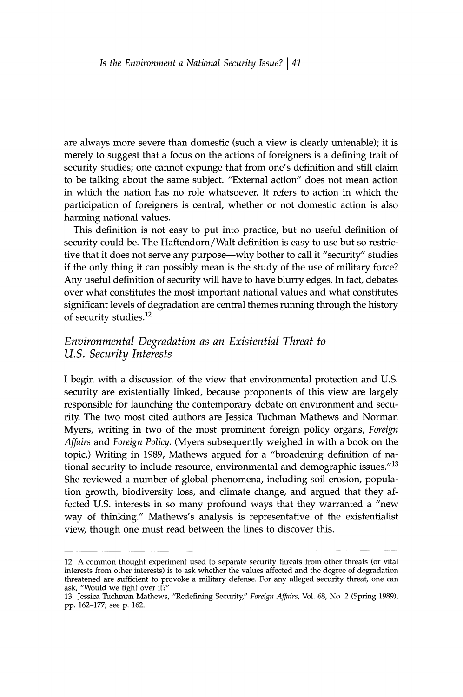are always more severe than domestic (such a view is clearly untenable); it is merely to suggest that a focus on the actions of foreigners is a defining trait of security studies; one cannot expunge that from one's definition and still claim to be talking about the same subject. "External action" does not mean action in which the nation has no role whatsoever. It refers to action in which the participation of foreigners is central, whether or not domestic action is also harming national values.

This definition is not easy to put into practice, but no useful definition of security could be. The Haftendorn/Walt definition is easy to use but so restrictive that it does not serve any purpose—why bother to call it "security" studies if the only thing it can possibly mean is the study of the use of military force? Any useful definition of security will have to have blurry edges. In fact, debates over what constitutes the most important national values and what constitutes significant levels of degradation are central themes running through the history of security studies.<sup>12</sup>

# Environmental Degradation as an Existential Threat to U.S. Security Interests

I begin with a discussion of the view that environmental protection and U.S. security are existentially linked, because proponents of this view are largely responsible for launching the contemporary debate on environment and security. The two most cited authors are Jessica Tuchman Mathews and Norman Myers, writing in two of the most prominent foreign policy organs, Foreign Affairs and Foreign Policy. (Myers subsequently weighed in with a book on the topic.) Writing in 1989, Mathews argued for a "broadening definition of national security to include resource, environmental and demographic issues." $13$ She reviewed a number of global phenomena, including soil erosion, population growth, biodiversity loss, and climate change, and argued that they affected U.S. interests in so many profound ways that they warranted a "new way of thinking." Mathews's analysis is representative of the existentialist view, though one must read between the lines to discover this.

<sup>12.</sup> A common thought experiment used to separate security threats from other threats (or vital interests from other interests) is to ask whether the values affected and the degree of degradation threatened are sufficient to provoke a military defense. For any alleged security threat, one can ask, "Would we fight over it?"

<sup>13.</sup> Jessica Tuchman Mathews, "Redefining Security," Foreign Affairs, Vol. 68, No. 2 (Spring 1989), pp. 162-177; see p. 162.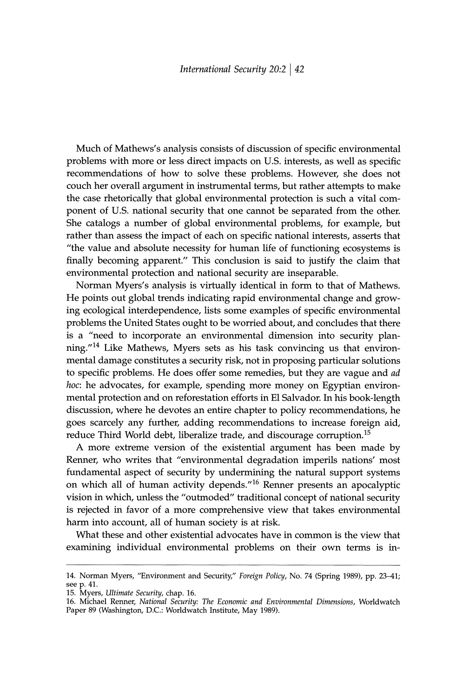Much of Mathews's analysis consists of discussion of specific environmental problems with more or less direct impacts on U.S. interests, as well as specific recommendations of how to solve these problems. However, she does not couch her overall argument in instrumental terms, but rather attempts to make the case rhetorically that global environmental protection is such a vital component of U.S. national security that one cannot be separated from the other. She catalogs a number of global environmental problems, for example, but rather than assess the impact of each on specific national interests, asserts that "the value and absolute necessity for human life of functioning ecosystems is finally becoming apparent." This conclusion is said to justify the claim that environmental protection and national security are inseparable.

Norman Myers's analysis is virtually identical in form to that of Mathews. He points out global trends indicating rapid environmental change and growing ecological interdependence, lists some examples of specific environmental problems the United States ought to be worried about, and concludes that there is a "need to incorporate an environmental dimension into security planning."<sup>14</sup> Like Mathews, Myers sets as his task convincing us that environmental damage constitutes a security risk, not in proposing particular solutions to specific problems. He does offer some remedies, but they are vague and ad hoc: he advocates, for example, spending more money on Egyptian environmental protection and on reforestation efforts in El Salvador. In his book-length discussion, where he devotes an entire chapter to policy recommendations, he goes scarcely any further, adding recommendations to increase foreign aid, reduce Third World debt, liberalize trade, and discourage corruption.<sup>15</sup>

A more extreme version of the existential argument has been made by Renner, who writes that "environmental degradation imperils nations' most fundamental aspect of security by undermining the natural support systems on which all of human activity depends."<sup>16</sup> Renner presents an apocalyptic vision in which, unless the "outmoded" traditional concept of national security is rejected in favor of a more comprehensive view that takes environmental harm into account, all of human society is at risk.

What these and other existential advocates have in common is the view that examining individual environmental problems on their own terms is in-

15. Myers, Ultimate Security, chap. 16.

16. Michael Renner, National Security: The Economic and Environmental Dimensions, Worldwatch Paper 89 (Washington, D.C.: Worldwatch Institute, May 1989).

<sup>14.</sup> Norman Myers, "Environment and Security," Foreign Policy, No. 74 (Spring 1989), pp. 23-41; see p. 41.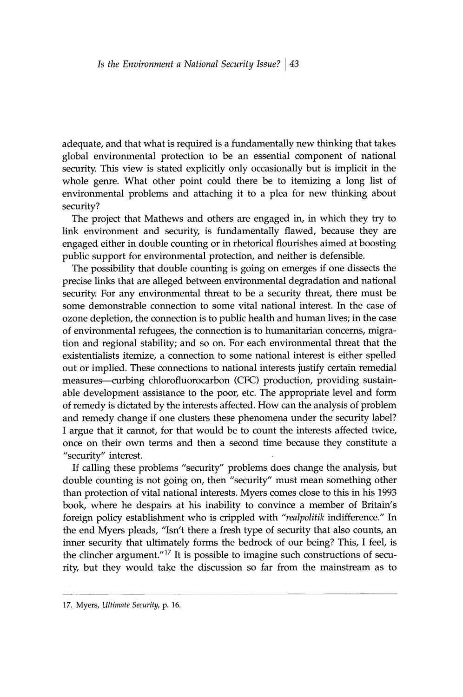adequate, and that what is required is a fundamentally new thinking that takes global environmental protection to be an essential component of national security. This view is stated explicitly only occasionally but is implicit in the whole genre. What other point could there be to itemizing a long list of environmental problems and attaching it to a plea for new thinking about security?

The project that Mathews and others are engaged in, in which they try to link environment and security, is fundamentally flawed, because they are engaged either in double counting or in rhetorical flourishes aimed at boosting public support for environmental protection, and neither is defensible.

The possibility that double counting is going on emerges if one dissects the precise links that are alleged between environmental degradation and national security. For any environmental threat to be a security threat, there must be some demonstrable connection to some vital national interest. In the case of ozone depletion, the connection is to public health and human lives; in the case of environmental refugees, the connection is to humanitarian concerns, migration and regional stability; and so on. For each environmental threat that the existentialists itemize, a connection to some national interest is either spelled out or implied. These connections to national interests justify certain remedial measures—curbing chlorofluorocarbon (CFC) production, providing sustainable development assistance to the poor, etc. The appropriate level and form of remedy is dictated by the interests affected. How can the analysis of problem and remedy change if one clusters these phenomena under the security label? I argue that it cannot, for that would be to count the interests affected twice, once on their own terms and then a second time because they constitute a "security" interest.

If calling these problems "security" problems does change the analysis, but double counting is not going on, then "security" must mean something other than protection of vital national interests. Myers comes close to this in his 1993 book, where he despairs at his inability to convince a member of Britain's foreign policy establishment who is crippled with "realpolitik indifference." In the end Myers pleads, "Isn't there a fresh type of security that also counts, an inner security that ultimately forms the bedrock of our being? This, I feel, is the clincher argument."<sup>17</sup> It is possible to imagine such constructions of security, but they would take the discussion so far from the mainstream as to

<sup>17.</sup> Myers, Ultimate Security, p. 16.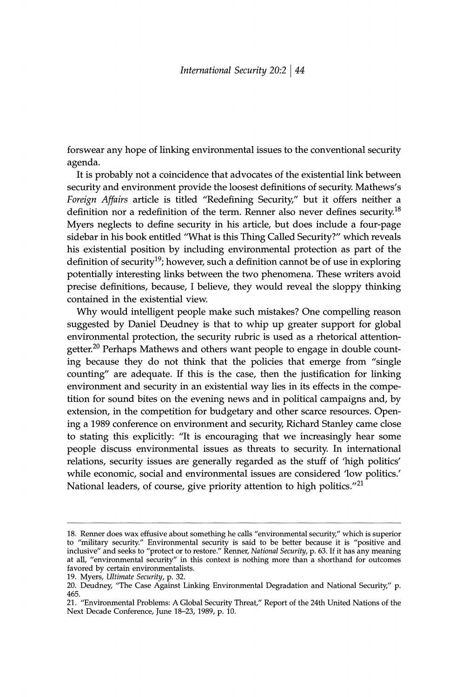forswear any hope of linking environmental issues to the conventional security agenda.

It is probably not a coincidence that advocates of the existential link between security and environment provide the loosest definitions of security. Mathews's Foreign Affairs article is titled "Redefining Security," but it offers neither a definition nor a redefinition of the term. Renner also never defines security.<sup>18</sup> Myers neglects to define security in his article, but does include a four-page sidebar in his book entitled "What is this Thing Called Security?" which reveals his existential position by including environmental protection as part of the definition of security<sup>19</sup>; however, such a definition cannot be of use in exploring potentially interesting links between the two phenomena. These writers avoid precise definitions, because, I believe, they would reveal the sloppy thinking contained in the existential view.

Why would intelligent people make such mistakes? One compelling reason suggested by Daniel Deudney is that to whip up greater support for global environmental protection, the security rubric is used as a rhetorical attentiongetter.<sup>20</sup> Perhaps Mathews and others want people to engage in double counting because they do not think that the policies that emerge from "single" counting" are adequate. If this is the case, then the justification for linking environment and security in an existential way lies in its effects in the competition for sound bites on the evening news and in political campaigns and, by extension, in the competition for budgetary and other scarce resources. Opening a 1989 conference on environment and security, Richard Stanley came close to stating this explicitly: "It is encouraging that we increasingly hear some people discuss environmental issues as threats to security. In international relations, security issues are generally regarded as the stuff of 'high politics' while economic, social and environmental issues are considered 'low politics.' National leaders, of course, give priority attention to high politics."21

<sup>18.</sup> Renner does wax effusive about something he calls "environmental security," which is superior to "military security." Environmental security is said to be better because it is "positive and inclusive" and seeks to "protect or to restore." Renner, *National Security*, p. 63. If it has any meaning at all, "environmental security" in this context is nothing more than a shorthand for outcomes favored by certain environmentalists.

<sup>19.</sup> Myers, Ultimate Security, p. 32.

<sup>20.</sup> Deudney, "The Case Against Linking Environmental Degradation and National Security," p. 465.

<sup>21. &</sup>quot;Environmental Problems: A Global Security Threat," Report of the 24th United Nations of the Next Decade Conference, June 18-23, 1989, p. 10.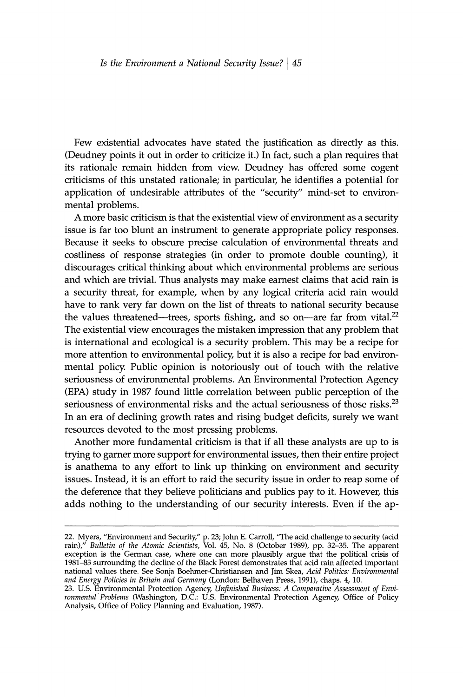Few existential advocates have stated the justification as directly as this. (Deudney points it out in order to criticize it.) In fact, such a plan requires that its rationale remain hidden from view. Deudney has offered some cogent criticisms of this unstated rationale; in particular, he identifies a potential for application of undesirable attributes of the "security" mind-set to environmental problems.

A more basic criticism is that the existential view of environment as a security issue is far too blunt an instrument to generate appropriate policy responses. Because it seeks to obscure precise calculation of environmental threats and costliness of response strategies (in order to promote double counting), it discourages critical thinking about which environmental problems are serious and which are trivial. Thus analysts may make earnest claims that acid rain is a security threat, for example, when by any logical criteria acid rain would have to rank very far down on the list of threats to national security because the values threatened—trees, sports fishing, and so on—are far from vital. $^{22}$ The existential view encourages the mistaken impression that any problem that is international and ecological is a security problem. This may be a recipe for more attention to environmental policy, but it is also a recipe for bad environmental policy. Public opinion is notoriously out of touch with the relative seriousness of environmental problems. An Environmental Protection Agency (EPA) study in 1987 found little correlation between public perception of the seriousness of environmental risks and the actual seriousness of those risks.<sup>23</sup> In an era of declining growth rates and rising budget deficits, surely we want resources devoted to the most pressing problems.

Another more fundamental criticism is that if all these analysts are up to is trying to garner more support for environmental issues, then their entire project is anathema to any effort to link up thinking on environment and security issues. Instead, it is an effort to raid the security issue in order to reap some of the deference that they believe politicians and publics pay to it. However, this adds nothing to the understanding of our security interests. Even if the ap-

<sup>22.</sup> Myers, "Environment and Security," p. 23; John E. Carroll, "The acid challenge to security (acid rain)," Bulletin of the Atomic Scientists, Vol. 45, No. 8 (October 1989), pp. 32–35. The apparent exception is the German and Energy Policies in Britain and Germany (London: Belhaven Press, 1991), chaps. 4, 10.

<sup>23.</sup> U.S. Environmental Protection Agency, Unfinished Business: A Comparative Assessment of Environmental Problems (Washington, D.C.: U.S. Environmental Protection Agency, Office of Policy Analysis, Office of Policy Planning and Evaluation, 1987).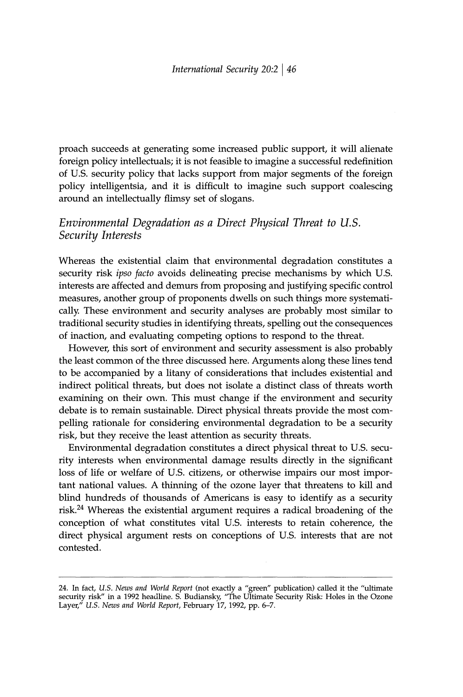proach succeeds at generating some increased public support, it will alienate foreign policy intellectuals; it is not feasible to imagine a successful redefinition of U.S. security policy that lacks support from major segments of the foreign policy intelligentsia, and it is difficult to imagine such support coalescing around an intellectually flimsy set of slogans.

# Environmental Degradation as a Direct Physical Threat to U.S. Security Interests

Whereas the existential claim that environmental degradation constitutes a security risk *ipso facto* avoids delineating precise mechanisms by which U.S. interests are affected and demurs from proposing and justifying specific control measures, another group of proponents dwells on such things more systematically. These environment and security analyses are probably most similar to traditional security studies in identifying threats, spelling out the consequences of inaction, and evaluating competing options to respond to the threat.

However, this sort of environment and security assessment is also probably the least common of the three discussed here. Arguments along these lines tend to be accompanied by a litany of considerations that includes existential and indirect political threats, but does not isolate a distinct class of threats worth examining on their own. This must change if the environment and security debate is to remain sustainable. Direct physical threats provide the most compelling rationale for considering environmental degradation to be a security risk, but they receive the least attention as security threats.

Environmental degradation constitutes a direct physical threat to U.S. security interests when environmental damage results directly in the significant loss of life or welfare of U.S. citizens, or otherwise impairs our most important national values. A thinning of the ozone layer that threatens to kill and blind hundreds of thousands of Americans is easy to identify as a security risk.<sup>24</sup> Whereas the existential argument requires a radical broadening of the conception of what constitutes vital U.S. interests to retain coherence, the direct physical argument rests on conceptions of U.S. interests that are not contested.

<sup>24.</sup> In fact, U.S. News and World Report (not exactly a "green" publication) called it the "ultimate security risk" in a 1992 headline. S. Budiansky, "The Ultimate Security Risk: Holes in the Ozone Layer," U.S. News and Wor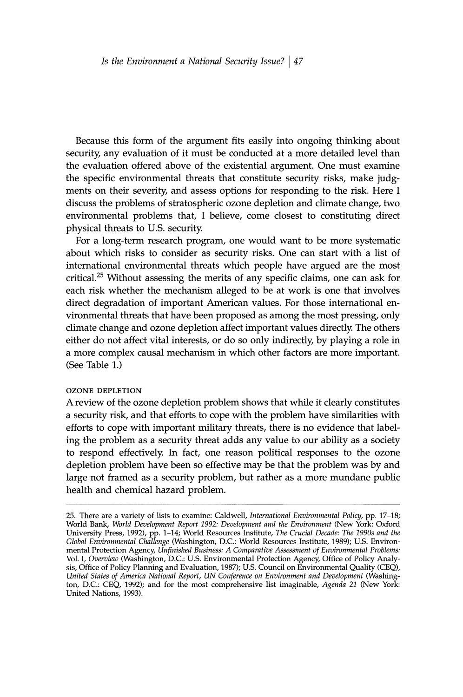Because this form of the argument fits easily into ongoing thinking about security, any evaluation of it must be conducted at a more detailed level than the evaluation offered above of the existential argument. One must examine the specific environmental threats that constitute security risks, make judgments on their severity, and assess options for responding to the risk. Here I discuss the problems of stratospheric ozone depletion and climate change, two environmental problems that, I believe, come closest to constituting direct physical threats to U.S. security.

For a long-term research program, one would want to be more systematic about which risks to consider as security risks. One can start with a list of international environmental threats which people have argued are the most critical.<sup>25</sup> Without assessing the merits of any specific claims, one can ask for each risk whether the mechanism alleged to be at work is one that involves direct degradation of important American values. For those international environmental threats that have been proposed as among the most pressing, only climate change and ozone depletion affect important values directly. The others either do not affect vital interests, or do so only indirectly, by playing a role in a more complex causal mechanism in which other factors are more important. (See Table 1.)

#### **OZONE DEPLETION**

A review of the ozone depletion problem shows that while it clearly constitutes a security risk, and that efforts to cope with the problem have similarities with efforts to cope with important military threats, there is no evidence that labeling the problem as a security threat adds any value to our ability as a society to respond effectively. In fact, one reason political responses to the ozone depletion problem have been so effective may be that the problem was by and large not framed as a security problem, but rather as a more mundane public health and chemical hazard problem.

<sup>25.</sup> There are a variety of lists to examine: Caldwell, International Environmental Policy, pp. 17-18; World Bank, World Development Report 1992: Development and the Environment (New York: Oxford University Press, 1992), pp. 1-14; World Resources Institute, The Crucial Decade: The 1990s and the Global Environmental Challenge (Washington, D.C.: World Resources Institute, 1989); U.S. Environmental Protection Agency, Unfinished Business: A Comparative Assessment of Environmental Problems: Vol. I, Overview (Washington, D.C.: U.S. Environmental Protection Agency, Office of Policy Analysis, Office of Policy Planning and Evaluation, 1987); U.S. Council on Environmental Quality (CEQ), United States of America National Report, UN Conference on Environment and Development (Washington, D.C.: CEQ, 1992); and for the most comprehensive list imaginable, Agenda 21 (New York: United Nations, 1993).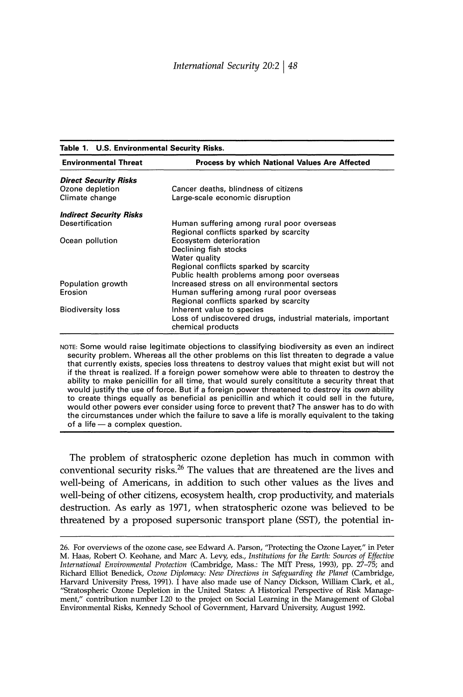#### Table 1. U.S. Environmental Security Risks.

| <b>Environmental Threat</b>    | Process by which National Values Are Affected                                    |
|--------------------------------|----------------------------------------------------------------------------------|
| <b>Direct Security Risks</b>   |                                                                                  |
| Ozone depletion                | Cancer deaths, blindness of citizens                                             |
| Climate change                 | Large-scale economic disruption                                                  |
| <b>Indirect Security Risks</b> |                                                                                  |
| Desertification                | Human suffering among rural poor overseas                                        |
|                                | Regional conflicts sparked by scarcity                                           |
| Ocean pollution                | Ecosystem deterioration                                                          |
|                                | Declining fish stocks                                                            |
|                                | Water quality                                                                    |
|                                | Regional conflicts sparked by scarcity                                           |
|                                | Public health problems among poor overseas                                       |
| Population growth              | Increased stress on all environmental sectors                                    |
| Erosion                        | Human suffering among rural poor overseas                                        |
|                                | Regional conflicts sparked by scarcity                                           |
| <b>Biodiversity loss</b>       | Inherent value to species                                                        |
|                                | Loss of undiscovered drugs, industrial materials, important<br>chemical products |

NOTE: Some would raise legitimate objections to classifying biodiversity as even an indirect security problem. Whereas all the other problems on this list threaten to degrade a value that currently exists, species loss threatens to destroy values that might exist but will not if the threat is realized. If a foreign power somehow were able to threaten to destroy the ability to make penicillin for all time, that would surely consititute a security threat that would justify the use of force. But if a foreign power threatened to destroy its own ability to create things equally as beneficial as penicillin and which it could sell in the future, would other powers ever consider using force to prevent that? The answer has to do with the circumstances under which the failure to save a life is morally equivalent to the taking of a life - a complex question.

The problem of stratospheric ozone depletion has much in common with conventional security risks.<sup>26</sup> The values that are threatened are the lives and well-being of Americans, in addition to such other values as the lives and well-being of other citizens, ecosystem health, crop productivity, and materials destruction. As early as 1971, when stratospheric ozone was believed to be threatened by a proposed supersonic transport plane (SST), the potential in-

<sup>26.</sup> For overviews of the ozone case, see Edward A. Parson, "Protecting the Ozone Layer," in Peter M. Haas, Robert O. Keohane, and Marc A. Levy, eds., Institutions for the Earth: Sources of Effective International Environmental Protection (Cambridge, Mass.: The MIT Press, 1993), pp. 27-75; and Richard Elliot Benedick, Ozone Diplomacy: New Directions in Safeguarding the Planet (Cambridge, Harvard University Press, 1991). I have also made use of Nancy Dickson, William Clark, et al., "Stratospheric Ozone Depletion in the United States: A Historical Perspective of Risk Management," contribution number I.20 to the project on Social Learning in the Management of Global<br>Environmental Risks, Kennedy School of Government, Harvard University, August 1992.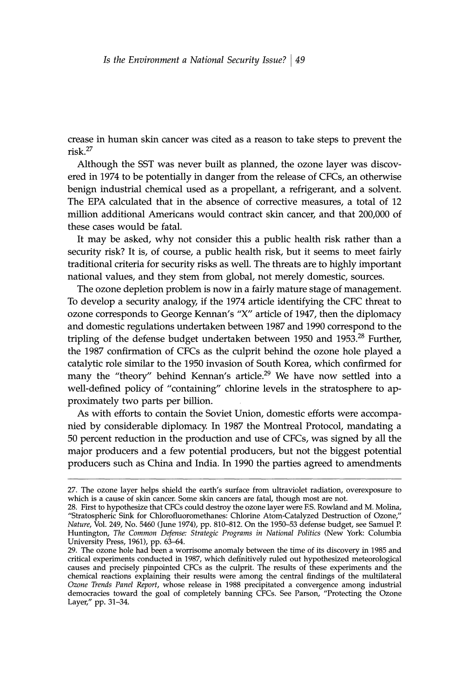crease in human skin cancer was cited as a reason to take steps to prevent the  $risk$ .<sup>27</sup>

Although the SST was never built as planned, the ozone layer was discovered in 1974 to be potentially in danger from the release of CFCs, an otherwise benign industrial chemical used as a propellant, a refrigerant, and a solvent. The EPA calculated that in the absence of corrective measures, a total of 12 million additional Americans would contract skin cancer, and that 200,000 of these cases would be fatal.

It may be asked, why not consider this a public health risk rather than a security risk? It is, of course, a public health risk, but it seems to meet fairly traditional criteria for security risks as well. The threats are to highly important national values, and they stem from global, not merely domestic, sources.

The ozone depletion problem is now in a fairly mature stage of management. To develop a security analogy, if the 1974 article identifying the CFC threat to ozone corresponds to George Kennan's "X" article of 1947, then the diplomacy and domestic regulations undertaken between 1987 and 1990 correspond to the tripling of the defense budget undertaken between 1950 and 1953.<sup>28</sup> Further, the 1987 confirmation of CFCs as the culprit behind the ozone hole played a catalytic role similar to the 1950 invasion of South Korea, which confirmed for many the "theory" behind Kennan's article.<sup>29</sup> We have now settled into a well-defined policy of "containing" chlorine levels in the stratosphere to approximately two parts per billion.

As with efforts to contain the Soviet Union, domestic efforts were accompanied by considerable diplomacy. In 1987 the Montreal Protocol, mandating a 50 percent reduction in the production and use of CFCs, was signed by all the major producers and a few potential producers, but not the biggest potential producers such as China and India. In 1990 the parties agreed to amendments

<sup>27.</sup> The ozone layer helps shield the earth's surface from ultraviolet radiation, overexposure to which is a cause of skin cancer. Some skin cancers are fatal, though most are not.

<sup>28.</sup> First to hypothesize that CFCs could destroy the ozone layer were F.S. Rowland and M. Molina, "Stratospheric Sink for Chlorofluoromethanes: Chlorine Atom-Catalyzed Destruction of Ozone, Nature, Vol. 249, No. 5460 (June 1974), pp. 810-812. On the 1950-53 defense budget, see Samuel P. Huntington, The Common Defense: Strategic Programs in National Politics (New York: Columbia University Press, 1961), pp. 63-64.

<sup>29.</sup> The ozone hole had been a worrisome anomaly between the time of its discovery in 1985 and critical experiments conducted in 1987, which definitively ruled out hypothesized meteorological causes and precisely pinpointed CFCs as the culprit. The results of these experiments and the chemical reactions explaining their results were among the central findings of the multilateral Ozone Trends Panel Report, whose release in 1988 precipitated a convergence among industrial democracies toward the goal of co Layer," pp. 31-34.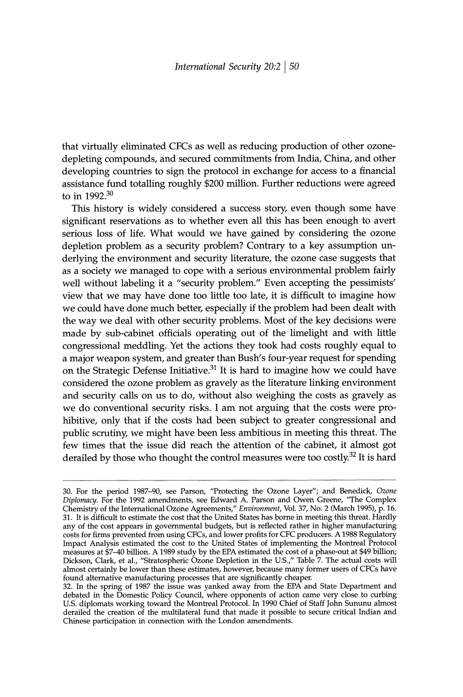that virtually eliminated CFCs as well as reducing production of other ozonedepleting compounds, and secured commitments from India, China, and other developing countries to sign the protocol in exchange for access to a financial assistance fund totalling roughly \$200 million. Further reductions were agreed to in 1992.<sup>30</sup>

This history is widely considered a success story, even though some have significant reservations as to whether even all this has been enough to avert serious loss of life. What would we have gained by considering the ozone depletion problem as a security problem? Contrary to a key assumption underlying the environment and security literature, the ozone case suggests that as a society we managed to cope with a serious environmental problem fairly well without labeling it a "security problem." Even accepting the pessimists' view that we may have done too little too late, it is difficult to imagine how we could have done much better, especially if the problem had been dealt with the way we deal with other security problems. Most of the key decisions were made by sub-cabinet officials operating out of the limelight and with little congressional meddling. Yet the actions they took had costs roughly equal to a major weapon system, and greater than Bush's four-year request for spending on the Strategic Defense Initiative.<sup>31</sup> It is hard to imagine how we could have considered the ozone problem as gravely as the literature linking environment and security calls on us to do, without also weighing the costs as gravely as we do conventional security risks. I am not arguing that the costs were prohibitive, only that if the costs had been subject to greater congressional and public scrutiny, we might have been less ambitious in meeting this threat. The few times that the issue did reach the attention of the cabinet, it almost got derailed by those who thought the control measures were too costly.<sup>32</sup> It is hard

<sup>30.</sup> For the period 1987-90, see Parson, "Protecting the Ozone Layer"; and Benedick, Ozone Diplomacy. For the 1992 amendments, see Edward A. Parson and Owen Greene, "The Complex Chemistry of the International Ozone Agreements," Environment, Vol. 37, No. 2 (March 1995), p. 16. 31. It is difficult to estimate the cost that the United States has borne in meeting this threat. Hardly on. It is effected rather in higher manufacturing<br>any of the cost appears in governmental budgets, but is reflected rather in higher manufacturing<br>costs for firms prevented from using CFCs, and lower profits for CFC produc measures at \$7-40 billion. A 1989 study by the EPA estimated the cost of a phase-out at \$49 billion; Dickson, Clark, et al., "Stratospheric Ozone Depletion in the U.S.," Table 7. The actual costs will almost certainly be lower than these estimates, however, because many former users of CFCs have found alternative manufacturing processes that are significantly cheaper.

<sup>32.</sup> In the spring of 1987 the issue was yanked away from the EPA and State Department and debated in the Domestic Policy Council, where opponents of action came very close to curbing U.S. diplomats working toward the Montr derailed the creation of the multilateral fund that made it possible to secure critical Indian and Chinese participation in connection with the London amendments.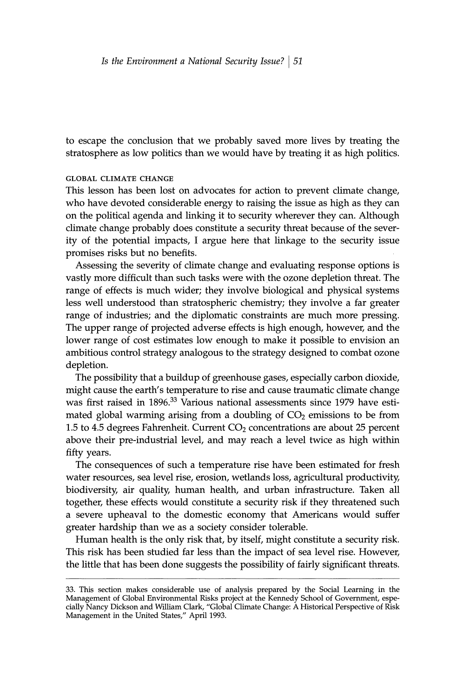to escape the conclusion that we probably saved more lives by treating the stratosphere as low politics than we would have by treating it as high politics.

### **GLOBAL CLIMATE CHANGE**

This lesson has been lost on advocates for action to prevent climate change, who have devoted considerable energy to raising the issue as high as they can on the political agenda and linking it to security wherever they can. Although climate change probably does constitute a security threat because of the severity of the potential impacts, I argue here that linkage to the security issue promises risks but no benefits.

Assessing the severity of climate change and evaluating response options is vastly more difficult than such tasks were with the ozone depletion threat. The range of effects is much wider; they involve biological and physical systems less well understood than stratospheric chemistry; they involve a far greater range of industries; and the diplomatic constraints are much more pressing. The upper range of projected adverse effects is high enough, however, and the lower range of cost estimates low enough to make it possible to envision an ambitious control strategy analogous to the strategy designed to combat ozone depletion.

The possibility that a buildup of greenhouse gases, especially carbon dioxide, might cause the earth's temperature to rise and cause traumatic climate change was first raised in 1896.<sup>33</sup> Various national assessments since 1979 have estimated global warming arising from a doubling of  $CO<sub>2</sub>$  emissions to be from 1.5 to 4.5 degrees Fahrenheit. Current  $CO<sub>2</sub>$  concentrations are about 25 percent above their pre-industrial level, and may reach a level twice as high within fifty years.

The consequences of such a temperature rise have been estimated for fresh water resources, sea level rise, erosion, wetlands loss, agricultural productivity, biodiversity, air quality, human health, and urban infrastructure. Taken all together, these effects would constitute a security risk if they threatened such a severe upheaval to the domestic economy that Americans would suffer greater hardship than we as a society consider tolerable.

Human health is the only risk that, by itself, might constitute a security risk. This risk has been studied far less than the impact of sea level rise. However, the little that has been done suggests the possibility of fairly significant threats.

<sup>33.</sup> This section makes considerable use of analysis prepared by the Social Learning in the Management of Global Environmental Risks project at the Kennedy School of Government, especially Nancy Dickson and William Clark, "Global Climate Change: A Historical Perspective of Risk Management in the United States," April 1993.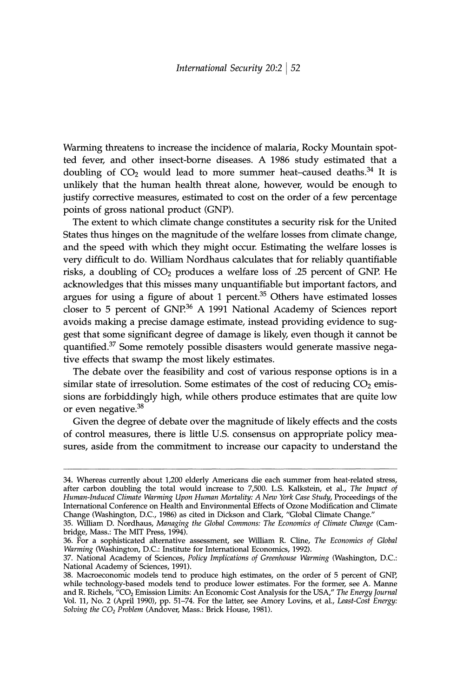Warming threatens to increase the incidence of malaria, Rocky Mountain spotted fever, and other insect-borne diseases. A 1986 study estimated that a doubling of  $CO_2$  would lead to more summer heat-caused deaths.<sup>34</sup> It is unlikely that the human health threat alone, however, would be enough to justify corrective measures, estimated to cost on the order of a few percentage points of gross national product (GNP).

The extent to which climate change constitutes a security risk for the United States thus hinges on the magnitude of the welfare losses from climate change, and the speed with which they might occur. Estimating the welfare losses is very difficult to do. William Nordhaus calculates that for reliably quantifiable risks, a doubling of  $CO<sub>2</sub>$  produces a welfare loss of .25 percent of GNP. He acknowledges that this misses many unquantifiable but important factors, and argues for using a figure of about 1 percent. $35$  Others have estimated losses closer to 5 percent of GNP.<sup>36</sup> A 1991 National Academy of Sciences report avoids making a precise damage estimate, instead providing evidence to suggest that some significant degree of damage is likely, even though it cannot be quantified.<sup>37</sup> Some remotely possible disasters would generate massive negative effects that swamp the most likely estimates.

The debate over the feasibility and cost of various response options is in a similar state of irresolution. Some estimates of the cost of reducing  $CO<sub>2</sub>$  emissions are forbiddingly high, while others produce estimates that are quite low or even negative.<sup>38</sup>

Given the degree of debate over the magnitude of likely effects and the costs of control measures, there is little U.S. consensus on appropriate policy measures, aside from the commitment to increase our capacity to understand the

<sup>34.</sup> Whereas currently about 1,200 elderly Americans die each summer from heat-related stress, after carbon doubling the total would increase to 7,500. L.S. Kalkstein, et al., The Impact of Human-Induced Climate Warming Upon Human Mortality: A New York Case Study, Proceedings of the International Conference on Health and Environmental Effects of Ozone Modification and Climate Change (Washington, D.C., 1986) as cited in Dickson and Clark, "Global Climate Change."

<sup>35.</sup> William D. Nordhaus, Managing the Global Commons: The Economics of Climate Change (Cambridge, Mass.: The MIT Press, 1994).

<sup>36.</sup> For a sophisticated alternative assessment, see William R. Cline, The Economics of Global Warming (Washington, D.C.: Institute for International Economics, 1992).

<sup>37.</sup> National Academy of Sciences, Policy Implications of Greenhouse Warming (Washington, D.C.: National Academy of Sciences, 1991).

<sup>38.</sup> Macroeconomic models tend to produce high estimates, on the order of 5 percent of GNP, while technology-based models tend to produce lower estimates. For the former, see A. Manne and R. Richels, "CO<sub>2</sub> Emission Limits: An Economic Cost Analysis for the USA," The Energy Journal Vol. 11, No. 2 (April 1990), pp. 51–74. For the latter, see Amory Lovins, et al., Least-Cost Energy:<br>Solving the CO<sub>2</sub> Problem (Andover, Mass.: Brick House, 1981).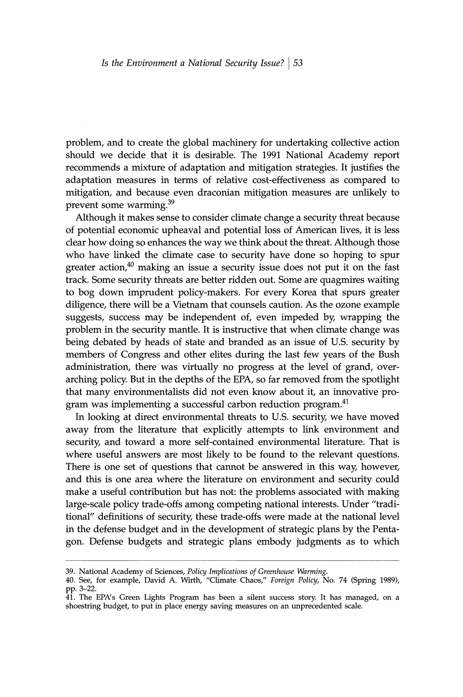problem, and to create the global machinery for undertaking collective action should we decide that it is desirable. The 1991 National Academy report recommends a mixture of adaptation and mitigation strategies. It justifies the adaptation measures in terms of relative cost-effectiveness as compared to mitigation, and because even draconian mitigation measures are unlikely to prevent some warming.<sup>39</sup>

Although it makes sense to consider climate change a security threat because of potential economic upheaval and potential loss of American lives, it is less clear how doing so enhances the way we think about the threat. Although those who have linked the climate case to security have done so hoping to spur greater action, $40$  making an issue a security issue does not put it on the fast track. Some security threats are better ridden out. Some are quagmires waiting to bog down imprudent policy-makers. For every Korea that spurs greater diligence, there will be a Vietnam that counsels caution. As the ozone example suggests, success may be independent of, even impeded by, wrapping the problem in the security mantle. It is instructive that when climate change was being debated by heads of state and branded as an issue of U.S. security by members of Congress and other elites during the last few years of the Bush administration, there was virtually no progress at the level of grand, overarching policy. But in the depths of the EPA, so far removed from the spotlight that many environmentalists did not even know about it, an innovative program was implementing a successful carbon reduction program.<sup>41</sup>

In looking at direct environmental threats to U.S. security, we have moved away from the literature that explicitly attempts to link environment and security, and toward a more self-contained environmental literature. That is where useful answers are most likely to be found to the relevant questions. There is one set of questions that cannot be answered in this way, however, and this is one area where the literature on environment and security could make a useful contribution but has not: the problems associated with making large-scale policy trade-offs among competing national interests. Under "traditional" definitions of security, these trade-offs were made at the national level in the defense budget and in the development of strategic plans by the Pentagon. Defense budgets and strategic plans embody judgments as to which

39. National Academy of Sciences, Policy Implications of Greenhouse Warming.

<sup>40.</sup> See, for example, David A. Wirth, "Climate Chaos," Foreign Policy, No. 74 (Spring 1989), pp. 3-22.

<sup>41.</sup> The EPA's Green Lights Program has been a silent success story. It has managed, on a shoestring budget, to put in place energy saving measures on an unprecedented scale.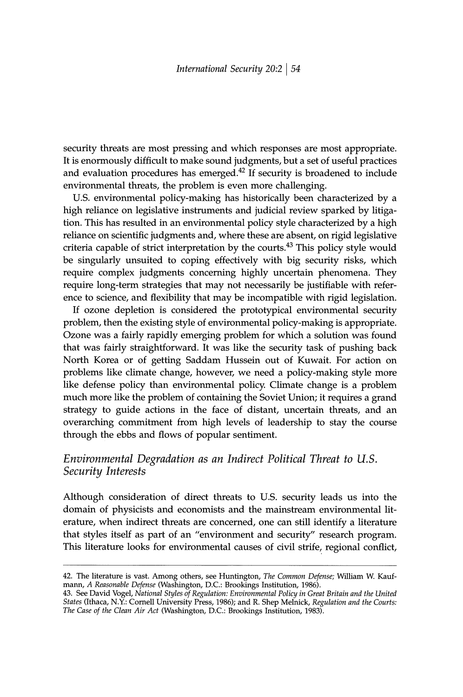security threats are most pressing and which responses are most appropriate. It is enormously difficult to make sound judgments, but a set of useful practices and evaluation procedures has emerged.<sup>42</sup> If security is broadened to include environmental threats, the problem is even more challenging.

U.S. environmental policy-making has historically been characterized by a high reliance on legislative instruments and judicial review sparked by litigation. This has resulted in an environmental policy style characterized by a high reliance on scientific judgments and, where these are absent, on rigid legislative criteria capable of strict interpretation by the courts.<sup>43</sup> This policy style would be singularly unsuited to coping effectively with big security risks, which require complex judgments concerning highly uncertain phenomena. They require long-term strategies that may not necessarily be justifiable with reference to science, and flexibility that may be incompatible with rigid legislation.

If ozone depletion is considered the prototypical environmental security problem, then the existing style of environmental policy-making is appropriate. Ozone was a fairly rapidly emerging problem for which a solution was found that was fairly straightforward. It was like the security task of pushing back North Korea or of getting Saddam Hussein out of Kuwait. For action on problems like climate change, however, we need a policy-making style more like defense policy than environmental policy. Climate change is a problem much more like the problem of containing the Soviet Union; it requires a grand strategy to guide actions in the face of distant, uncertain threats, and an overarching commitment from high levels of leadership to stay the course through the ebbs and flows of popular sentiment.

# Environmental Degradation as an Indirect Political Threat to U.S. Security Interests

Although consideration of direct threats to U.S. security leads us into the domain of physicists and economists and the mainstream environmental literature, when indirect threats are concerned, one can still identify a literature that styles itself as part of an "environment and security" research program. This literature looks for environmental causes of civil strife, regional conflict,

<sup>42.</sup> The literature is vast. Among others, see Huntington, The Common Defense; William W. Kaufmann, A Reasonable Defense (Washington, D.C.: Brookings Institution, 1986).

<sup>43.</sup> See David Vogel, National Styles of Regulation: Environmental Policy in Great Britain and the United States (Ithaca, N.Y.: Cornell University Press, 1986); and R. Shep Melnick, Regulation and the Courts: The Case of the Clean Air Act (Washington, D.C.: Brookings Institution, 1983).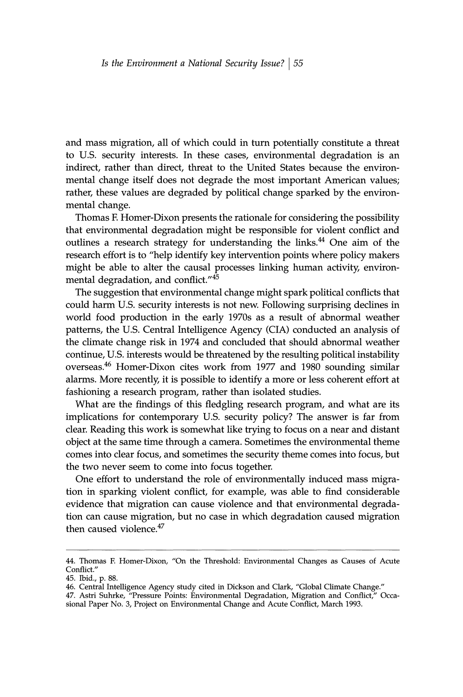and mass migration, all of which could in turn potentially constitute a threat to U.S. security interests. In these cases, environmental degradation is an indirect, rather than direct, threat to the United States because the environmental change itself does not degrade the most important American values; rather, these values are degraded by political change sparked by the environmental change.

Thomas F. Homer-Dixon presents the rationale for considering the possibility that environmental degradation might be responsible for violent conflict and outlines a research strategy for understanding the links.<sup>44</sup> One aim of the research effort is to "help identify key intervention points where policy makers might be able to alter the causal processes linking human activity, environmental degradation, and conflict."45

The suggestion that environmental change might spark political conflicts that could harm U.S. security interests is not new. Following surprising declines in world food production in the early 1970s as a result of abnormal weather patterns, the U.S. Central Intelligence Agency (CIA) conducted an analysis of the climate change risk in 1974 and concluded that should abnormal weather continue, U.S. interests would be threatened by the resulting political instability overseas.<sup>46</sup> Homer-Dixon cites work from 1977 and 1980 sounding similar alarms. More recently, it is possible to identify a more or less coherent effort at fashioning a research program, rather than isolated studies.

What are the findings of this fledgling research program, and what are its implications for contemporary U.S. security policy? The answer is far from clear. Reading this work is somewhat like trying to focus on a near and distant object at the same time through a camera. Sometimes the environmental theme comes into clear focus, and sometimes the security theme comes into focus, but the two never seem to come into focus together.

One effort to understand the role of environmentally induced mass migration in sparking violent conflict, for example, was able to find considerable evidence that migration can cause violence and that environmental degradation can cause migration, but no case in which degradation caused migration then caused violence.<sup>47</sup>

<sup>44.</sup> Thomas F. Homer-Dixon, "On the Threshold: Environmental Changes as Causes of Acute Conflict."

<sup>45.</sup> Ibid., p. 88.

<sup>46.</sup> Central Intelligence Agency study cited in Dickson and Clark, "Global Climate Change."

<sup>47.</sup> Astri Suhrke, "Pressure Points: Environmental Degradation, Migration and Conflict," Occasional Paper No. 3, Project on Environmental Change and Acute Conflict, March 1993.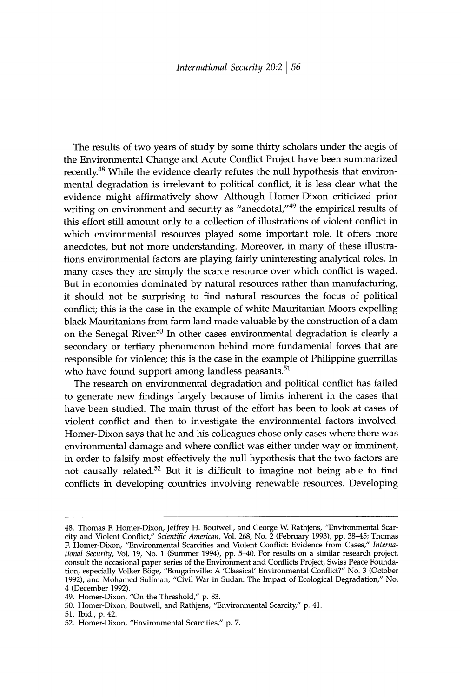The results of two years of study by some thirty scholars under the aegis of the Environmental Change and Acute Conflict Project have been summarized recently.<sup>48</sup> While the evidence clearly refutes the null hypothesis that environmental degradation is irrelevant to political conflict, it is less clear what the evidence might affirmatively show. Although Homer-Dixon criticized prior writing on environment and security as "anecdotal,"<sup>49</sup> the empirical results of this effort still amount only to a collection of illustrations of violent conflict in which environmental resources played some important role. It offers more anecdotes, but not more understanding. Moreover, in many of these illustrations environmental factors are playing fairly uninteresting analytical roles. In many cases they are simply the scarce resource over which conflict is waged. But in economies dominated by natural resources rather than manufacturing, it should not be surprising to find natural resources the focus of political conflict; this is the case in the example of white Mauritanian Moors expelling black Mauritanians from farm land made valuable by the construction of a dam on the Senegal River.<sup>50</sup> In other cases environmental degradation is clearly a secondary or tertiary phenomenon behind more fundamental forces that are responsible for violence; this is the case in the example of Philippine guerrillas who have found support among landless peasants.<sup>51</sup>

The research on environmental degradation and political conflict has failed to generate new findings largely because of limits inherent in the cases that have been studied. The main thrust of the effort has been to look at cases of violent conflict and then to investigate the environmental factors involved. Homer-Dixon says that he and his colleagues chose only cases where there was environmental damage and where conflict was either under way or imminent, in order to falsify most effectively the null hypothesis that the two factors are not causally related.<sup>52</sup> But it is difficult to imagine not being able to find conflicts in developing countries involving renewable resources. Developing

<sup>48.</sup> Thomas F. Homer-Dixon, Jeffrey H. Boutwell, and George W. Rathjens, "Environmental Scarcity and Violent Conflict," Scientific American, Vol. 268, No. 2 (February 1993), pp. 38–45; Thomas F. Homer-Dixon, "Environmental Scarcities and Violent Conflict: Evidence from Cases," International Security, Vol. 19, No. 1 (Summer 1994), pp. 5–40. For results on a similar research project, consult the occasional paper series of the Environment and Conflicts Project, Swiss Peace Foundation, especially Volker Böge, "Bougainville: A 'Classical' Environmental Conflict?" No. 3 (October 1992); and Mohamed Suliman, "Civil War in Sudan: The Impact of Ecological Degradation," No. 4 (December 1992).

<sup>49.</sup> Homer-Dixon, "On the Threshold," p. 83.

<sup>50.</sup> Homer-Dixon, Boutwell, and Rathjens, "Environmental Scarcity," p. 41.

<sup>51.</sup> Ibid., p. 42.

<sup>52.</sup> Homer-Dixon, "Environmental Scarcities," p. 7.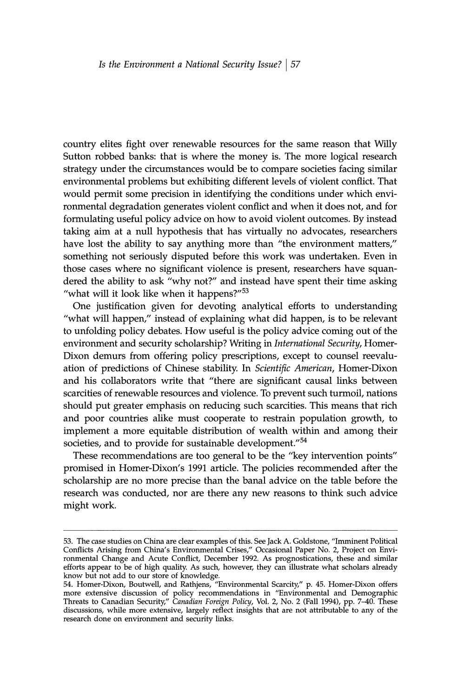country elites fight over renewable resources for the same reason that Willy Sutton robbed banks: that is where the money is. The more logical research strategy under the circumstances would be to compare societies facing similar environmental problems but exhibiting different levels of violent conflict. That would permit some precision in identifying the conditions under which environmental degradation generates violent conflict and when it does not, and for formulating useful policy advice on how to avoid violent outcomes. By instead taking aim at a null hypothesis that has virtually no advocates, researchers have lost the ability to say anything more than "the environment matters," something not seriously disputed before this work was undertaken. Even in those cases where no significant violence is present, researchers have squandered the ability to ask "why not?" and instead have spent their time asking "what will it look like when it happens?"<sup>53</sup>

One justification given for devoting analytical efforts to understanding "what will happen," instead of explaining what did happen, is to be relevant to unfolding policy debates. How useful is the policy advice coming out of the environment and security scholarship? Writing in International Security, Homer-Dixon demurs from offering policy prescriptions, except to counsel reevaluation of predictions of Chinese stability. In Scientific American, Homer-Dixon and his collaborators write that "there are significant causal links between scarcities of renewable resources and violence. To prevent such turmoil, nations should put greater emphasis on reducing such scarcities. This means that rich and poor countries alike must cooperate to restrain population growth, to implement a more equitable distribution of wealth within and among their societies, and to provide for sustainable development."<sup>54</sup>

These recommendations are too general to be the "key intervention points" promised in Homer-Dixon's 1991 article. The policies recommended after the scholarship are no more precise than the banal advice on the table before the research was conducted, nor are there any new reasons to think such advice might work.

<sup>53.</sup> The case studies on China are clear examples of this. See Jack A. Goldstone, "Imminent Political Conflicts Arising from China's Environmental Crises," Occasional Paper No. 2, Project on Environmental Change and Acute Conflict, December 1992. As prognostications, these and similar efforts appear to be of high quality. As such, however, they can illustrate what scholars already know but not add to our store of knowledge.

<sup>54.</sup> Homer-Dixon, Boutwell, and Rathjens, "Environmental Scarcity," p. 45. Homer-Dixon offers<br>more extensive discussion of policy recommendations in "Environmental and Demographic<br>Threats to Canadian Security," Canadian For research done on environment and security links.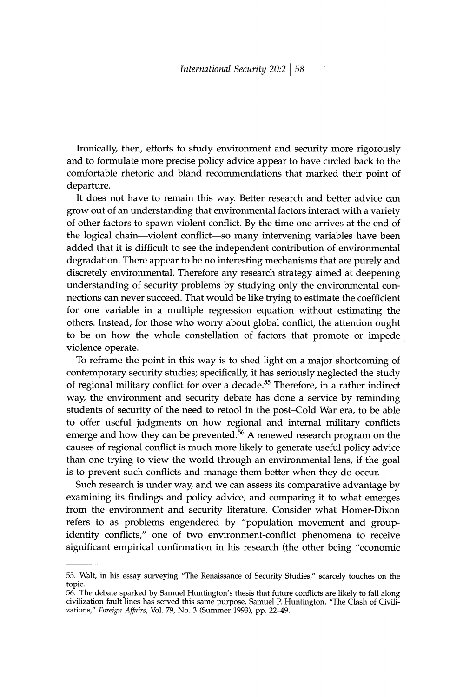Ironically, then, efforts to study environment and security more rigorously and to formulate more precise policy advice appear to have circled back to the comfortable rhetoric and bland recommendations that marked their point of departure.

It does not have to remain this way. Better research and better advice can grow out of an understanding that environmental factors interact with a variety of other factors to spawn violent conflict. By the time one arrives at the end of the logical chain—violent conflict—so many intervening variables have been added that it is difficult to see the independent contribution of environmental degradation. There appear to be no interesting mechanisms that are purely and discretely environmental. Therefore any research strategy aimed at deepening understanding of security problems by studying only the environmental connections can never succeed. That would be like trying to estimate the coefficient for one variable in a multiple regression equation without estimating the others. Instead, for those who worry about global conflict, the attention ought to be on how the whole constellation of factors that promote or impede violence operate.

To reframe the point in this way is to shed light on a major shortcoming of contemporary security studies; specifically, it has seriously neglected the study of regional military conflict for over a decade.<sup>55</sup> Therefore, in a rather indirect way, the environment and security debate has done a service by reminding students of security of the need to retool in the post-Cold War era, to be able to offer useful judgments on how regional and internal military conflicts emerge and how they can be prevented.<sup>56</sup> A renewed research program on the causes of regional conflict is much more likely to generate useful policy advice than one trying to view the world through an environmental lens, if the goal is to prevent such conflicts and manage them better when they do occur.

Such research is under way, and we can assess its comparative advantage by examining its findings and policy advice, and comparing it to what emerges from the environment and security literature. Consider what Homer-Dixon refers to as problems engendered by "population movement and groupidentity conflicts," one of two environment-conflict phenomena to receive significant empirical confirmation in his research (the other being "economic

<sup>55.</sup> Walt, in his essay surveying "The Renaissance of Security Studies," scarcely touches on the topic.

<sup>56.</sup> The debate sparked by Samuel Huntington's thesis that future conflicts are likely to fall along civilization fault lines has served this same purpose. Samuel P. Huntington, "The Clash of Civilizations," Foreign Affairs, Vol. 79, No. 3 (Summer 1993), pp. 22-49.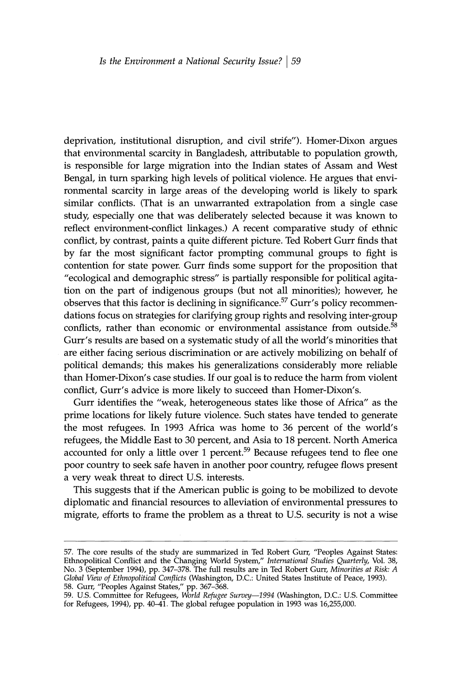deprivation, institutional disruption, and civil strife"). Homer-Dixon argues that environmental scarcity in Bangladesh, attributable to population growth, is responsible for large migration into the Indian states of Assam and West Bengal, in turn sparking high levels of political violence. He argues that environmental scarcity in large areas of the developing world is likely to spark similar conflicts. (That is an unwarranted extrapolation from a single case study, especially one that was deliberately selected because it was known to reflect environment-conflict linkages.) A recent comparative study of ethnic conflict, by contrast, paints a quite different picture. Ted Robert Gurr finds that by far the most significant factor prompting communal groups to fight is contention for state power. Gurr finds some support for the proposition that "ecological and demographic stress" is partially responsible for political agitation on the part of indigenous groups (but not all minorities); however, he observes that this factor is declining in significance.<sup>57</sup> Gurr's policy recommendations focus on strategies for clarifying group rights and resolving inter-group conflicts, rather than economic or environmental assistance from outside.<sup>58</sup> Gurr's results are based on a systematic study of all the world's minorities that are either facing serious discrimination or are actively mobilizing on behalf of political demands; this makes his generalizations considerably more reliable than Homer-Dixon's case studies. If our goal is to reduce the harm from violent conflict, Gurr's advice is more likely to succeed than Homer-Dixon's.

Gurr identifies the "weak, heterogeneous states like those of Africa" as the prime locations for likely future violence. Such states have tended to generate the most refugees. In 1993 Africa was home to 36 percent of the world's refugees, the Middle East to 30 percent, and Asia to 18 percent. North America accounted for only a little over 1 percent.<sup>59</sup> Because refugees tend to flee one poor country to seek safe haven in another poor country, refugee flows present a very weak threat to direct U.S. interests.

This suggests that if the American public is going to be mobilized to devote diplomatic and financial resources to alleviation of environmental pressures to migrate, efforts to frame the problem as a threat to U.S. security is not a wise

<sup>57.</sup> The core results of the study are summarized in Ted Robert Gurr, "Peoples Against States: Ethnopolitical Conflict and the Changing World System," International Studies Quarterly, Vol. 38, No. 3 (September 1994), pp. 347–378. The full results are in Ted Robert Gurr, Minorities at Risk: A Global View of Ethnopolitical Conflicts (Washington, D.C.: United States Institute of Peace, 1993).

<sup>58.</sup> Gurr, "Peoples Against States," pp. 367–368.<br>59. U.S. Committee for Refugees, World Refugee Survey—1994 (Washington, D.C.: U.S. Committee for Refugees, 1994), pp. 40–41. The global refugee population in 1993 was 16,255,000.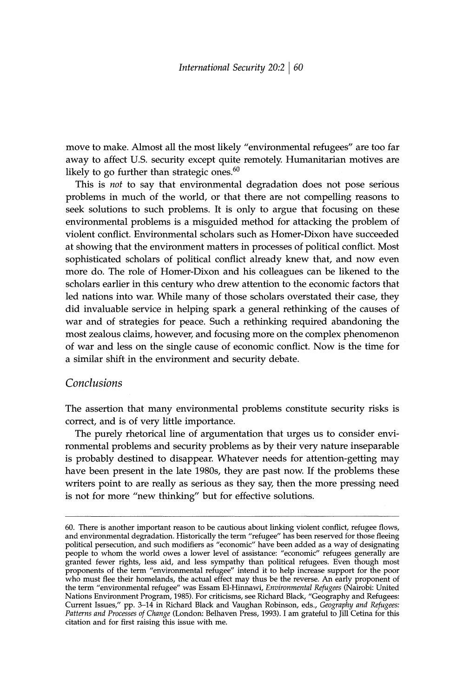move to make. Almost all the most likely "environmental refugees" are too far away to affect U.S. security except quite remotely. Humanitarian motives are likely to go further than strategic ones.<sup>60</sup>

This is not to say that environmental degradation does not pose serious problems in much of the world, or that there are not compelling reasons to seek solutions to such problems. It is only to argue that focusing on these environmental problems is a misguided method for attacking the problem of violent conflict. Environmental scholars such as Homer-Dixon have succeeded at showing that the environment matters in processes of political conflict. Most sophisticated scholars of political conflict already knew that, and now even more do. The role of Homer-Dixon and his colleagues can be likened to the scholars earlier in this century who drew attention to the economic factors that led nations into war. While many of those scholars overstated their case, they did invaluable service in helping spark a general rethinking of the causes of war and of strategies for peace. Such a rethinking required abandoning the most zealous claims, however, and focusing more on the complex phenomenon of war and less on the single cause of economic conflict. Now is the time for a similar shift in the environment and security debate.

# Conclusions

The assertion that many environmental problems constitute security risks is correct, and is of very little importance.

The purely rhetorical line of argumentation that urges us to consider environmental problems and security problems as by their very nature inseparable is probably destined to disappear. Whatever needs for attention-getting may have been present in the late 1980s, they are past now. If the problems these writers point to are really as serious as they say, then the more pressing need is not for more "new thinking" but for effective solutions.

<sup>60.</sup> There is another important reason to be cautious about linking violent conflict, refugee flows, oo. There is another important reason to be calculus about intenting violent connect, retugee hows,<br>and environmental degradation. Historically the term "refugee" has been reserved for those fleeing<br>political persecution, the term "environmental refugee" was Essam El-Hinnawi, Environmental Refugees (Nairobi: United Nations Environment Program, 1985). For criticisms, see Richard Black, "Geography and Refugees: Current Issues," pp. 3-14 in Richard Black and Vaughan Robinson, eds., Geography and Refugees: Patterns and Processes of Change (London: Belhaven Press, 1993). I am grateful to Jill Cetina for this citation and for first raising this issue with me.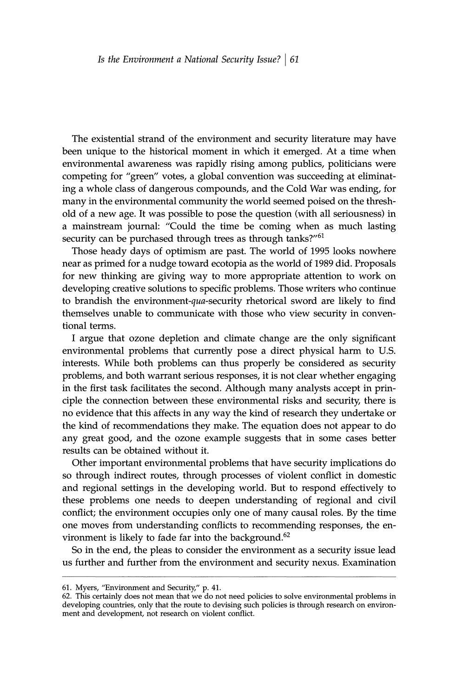The existential strand of the environment and security literature may have been unique to the historical moment in which it emerged. At a time when environmental awareness was rapidly rising among publics, politicians were competing for "green" votes, a global convention was succeeding at eliminating a whole class of dangerous compounds, and the Cold War was ending, for many in the environmental community the world seemed poised on the threshold of a new age. It was possible to pose the question (with all seriousness) in a mainstream journal: "Could the time be coming when as much lasting security can be purchased through trees as through tanks?"<sup>61</sup>

Those heady days of optimism are past. The world of 1995 looks nowhere near as primed for a nudge toward ecotopia as the world of 1989 did. Proposals for new thinking are giving way to more appropriate attention to work on developing creative solutions to specific problems. Those writers who continue to brandish the environment-qua-security rhetorical sword are likely to find themselves unable to communicate with those who view security in conventional terms.

I argue that ozone depletion and climate change are the only significant environmental problems that currently pose a direct physical harm to U.S. interests. While both problems can thus properly be considered as security problems, and both warrant serious responses, it is not clear whether engaging in the first task facilitates the second. Although many analysts accept in principle the connection between these environmental risks and security, there is no evidence that this affects in any way the kind of research they undertake or the kind of recommendations they make. The equation does not appear to do any great good, and the ozone example suggests that in some cases better results can be obtained without it.

Other important environmental problems that have security implications do so through indirect routes, through processes of violent conflict in domestic and regional settings in the developing world. But to respond effectively to these problems one needs to deepen understanding of regional and civil conflict; the environment occupies only one of many causal roles. By the time one moves from understanding conflicts to recommending responses, the environment is likely to fade far into the background.<sup>62</sup>

So in the end, the pleas to consider the environment as a security issue lead us further and further from the environment and security nexus. Examination

<sup>61.</sup> Myers, "Environment and Security," p. 41.

<sup>62.</sup> This certainly does not mean that we do not need policies to solve environmental problems in developing countries, only that the route to devising such policies is through research on environment and development, not research on violent conflict.